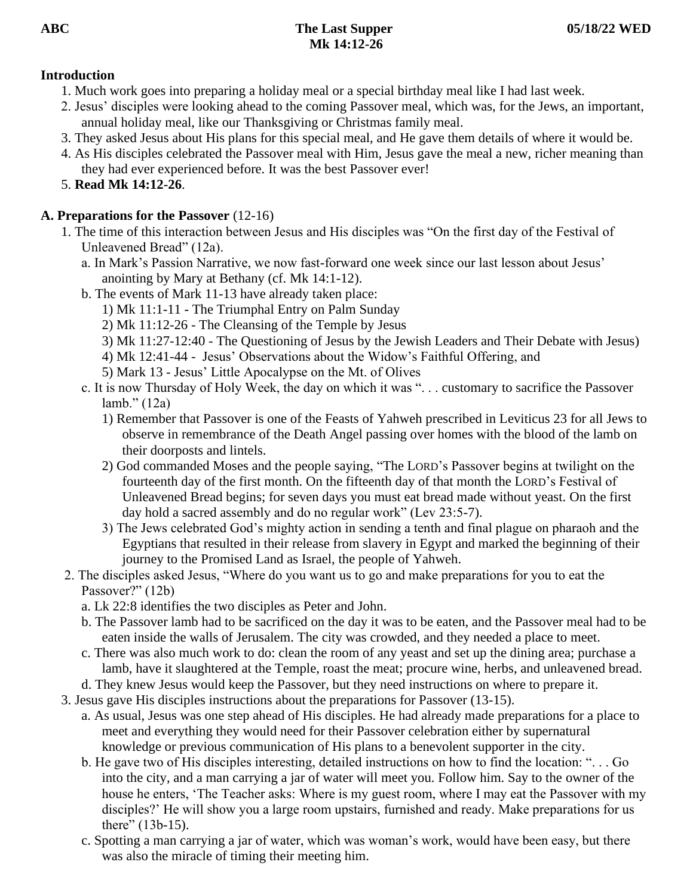# **Introduction**

- 1. Much work goes into preparing a holiday meal or a special birthday meal like I had last week.
- 2. Jesus' disciples were looking ahead to the coming Passover meal, which was, for the Jews, an important, annual holiday meal, like our Thanksgiving or Christmas family meal.
- 3. They asked Jesus about His plans for this special meal, and He gave them details of where it would be.
- 4. As His disciples celebrated the Passover meal with Him, Jesus gave the meal a new, richer meaning than they had ever experienced before. It was the best Passover ever!
- 5. **Read Mk 14:12-26**.

# **A. Preparations for the Passover** (12-16)

- 1. The time of this interaction between Jesus and His disciples was "On the first day of the Festival of Unleavened Bread" (12a).
	- a. In Mark's Passion Narrative, we now fast-forward one week since our last lesson about Jesus' anointing by Mary at Bethany (cf. Mk 14:1-12).
	- b. The events of Mark 11-13 have already taken place:
		- 1) Mk 11:1-11 The Triumphal Entry on Palm Sunday
		- 2) Mk 11:12-26 The Cleansing of the Temple by Jesus
		- 3) Mk 11:27-12:40 The Questioning of Jesus by the Jewish Leaders and Their Debate with Jesus)
		- 4) Mk 12:41-44 Jesus' Observations about the Widow's Faithful Offering, and
		- 5) Mark 13 Jesus' Little Apocalypse on the Mt. of Olives
	- c. It is now Thursday of Holy Week, the day on which it was ". . . customary to sacrifice the Passover lamb." (12a)
		- 1) Remember that Passover is one of the Feasts of Yahweh prescribed in Leviticus 23 for all Jews to observe in remembrance of the Death Angel passing over homes with the blood of the lamb on their doorposts and lintels.
		- 2) God commanded Moses and the people saying, "The LORD's Passover begins at twilight on the fourteenth day of the first month. On the fifteenth day of that month the LORD's Festival of Unleavened Bread begins; for seven days you must eat bread made without yeast. On the first day hold a sacred assembly and do no regular work" (Lev 23:5-7).
		- 3) The Jews celebrated God's mighty action in sending a tenth and final plague on pharaoh and the Egyptians that resulted in their release from slavery in Egypt and marked the beginning of their journey to the Promised Land as Israel, the people of Yahweh.
- 2. The disciples asked Jesus, "Where do you want us to go and make preparations for you to eat the Passover?" (12b)
	- a. Lk 22:8 identifies the two disciples as Peter and John.
	- b. The Passover lamb had to be sacrificed on the day it was to be eaten, and the Passover meal had to be eaten inside the walls of Jerusalem. The city was crowded, and they needed a place to meet.
	- c. There was also much work to do: clean the room of any yeast and set up the dining area; purchase a lamb, have it slaughtered at the Temple, roast the meat; procure wine, herbs, and unleavened bread.
	- d. They knew Jesus would keep the Passover, but they need instructions on where to prepare it.
- 3. Jesus gave His disciples instructions about the preparations for Passover (13-15).
	- a. As usual, Jesus was one step ahead of His disciples. He had already made preparations for a place to meet and everything they would need for their Passover celebration either by supernatural knowledge or previous communication of His plans to a benevolent supporter in the city.
	- b. He gave two of His disciples interesting, detailed instructions on how to find the location: ". . . Go into the city, and a man carrying a jar of water will meet you. Follow him. Say to the owner of the house he enters, 'The Teacher asks: Where is my guest room, where I may eat the Passover with my disciples?' He will show you a large room upstairs, furnished and ready. Make preparations for us there" (13b-15).
	- c. Spotting a man carrying a jar of water, which was woman's work, would have been easy, but there was also the miracle of timing their meeting him.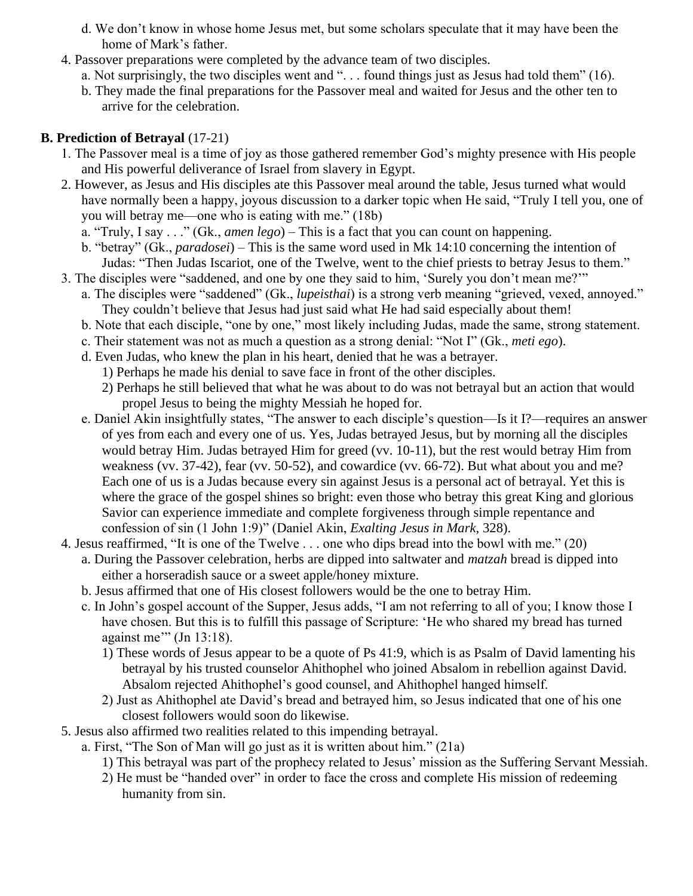- d. We don't know in whose home Jesus met, but some scholars speculate that it may have been the home of Mark's father.
- 4. Passover preparations were completed by the advance team of two disciples.
	- a. Not surprisingly, the two disciples went and ". . . found things just as Jesus had told them" (16).
	- b. They made the final preparations for the Passover meal and waited for Jesus and the other ten to arrive for the celebration.

### **B. Prediction of Betrayal** (17-21)

- 1. The Passover meal is a time of joy as those gathered remember God's mighty presence with His people and His powerful deliverance of Israel from slavery in Egypt.
- 2. However, as Jesus and His disciples ate this Passover meal around the table, Jesus turned what would have normally been a happy, joyous discussion to a darker topic when He said, "Truly I tell you, one of you will betray me—one who is eating with me." (18b)
	- a. "Truly, I say . . ." (Gk., *amen lego*) This is a fact that you can count on happening.
	- b. "betray" (Gk., *paradosei*) This is the same word used in Mk 14:10 concerning the intention of Judas: "Then Judas Iscariot, one of the Twelve, went to the chief priests to betray Jesus to them."
- 3. The disciples were "saddened, and one by one they said to him, 'Surely you don't mean me?'"
	- a. The disciples were "saddened" (Gk., *lupeisthai*) is a strong verb meaning "grieved, vexed, annoyed." They couldn't believe that Jesus had just said what He had said especially about them!
	- b. Note that each disciple, "one by one," most likely including Judas, made the same, strong statement.
	- c. Their statement was not as much a question as a strong denial: "Not I" (Gk., *meti ego*).
	- d. Even Judas, who knew the plan in his heart, denied that he was a betrayer.
		- 1) Perhaps he made his denial to save face in front of the other disciples.
		- 2) Perhaps he still believed that what he was about to do was not betrayal but an action that would propel Jesus to being the mighty Messiah he hoped for.
	- e. Daniel Akin insightfully states, "The answer to each disciple's question—Is it I?—requires an answer of yes from each and every one of us. Yes, Judas betrayed Jesus, but by morning all the disciples would betray Him. Judas betrayed Him for greed (vv. 10-11), but the rest would betray Him from weakness (vv. 37-42), fear (vv. 50-52), and cowardice (vv. 66-72). But what about you and me? Each one of us is a Judas because every sin against Jesus is a personal act of betrayal. Yet this is where the grace of the gospel shines so bright: even those who betray this great King and glorious Savior can experience immediate and complete forgiveness through simple repentance and confession of sin (1 John 1:9)" (Daniel Akin, *Exalting Jesus in Mark*, 328).
- 4. Jesus reaffirmed, "It is one of the Twelve . . . one who dips bread into the bowl with me." (20)
	- a. During the Passover celebration, herbs are dipped into saltwater and *matzah* bread is dipped into either a horseradish sauce or a sweet apple/honey mixture.
	- b. Jesus affirmed that one of His closest followers would be the one to betray Him.
	- c. In John's gospel account of the Supper, Jesus adds, "I am not referring to all of you; I know those I have chosen. But this is to fulfill this passage of Scripture: 'He who shared my bread has turned against me'" (Jn 13:18).
		- 1) These words of Jesus appear to be a quote of Ps 41:9, which is as Psalm of David lamenting his betrayal by his trusted counselor Ahithophel who joined Absalom in rebellion against David. Absalom rejected Ahithophel's good counsel, and Ahithophel hanged himself.
		- 2) Just as Ahithophel ate David's bread and betrayed him, so Jesus indicated that one of his one closest followers would soon do likewise.
- 5. Jesus also affirmed two realities related to this impending betrayal.
	- a. First, "The Son of Man will go just as it is written about him." (21a)
		- 1) This betrayal was part of the prophecy related to Jesus' mission as the Suffering Servant Messiah.
		- 2) He must be "handed over" in order to face the cross and complete His mission of redeeming humanity from sin.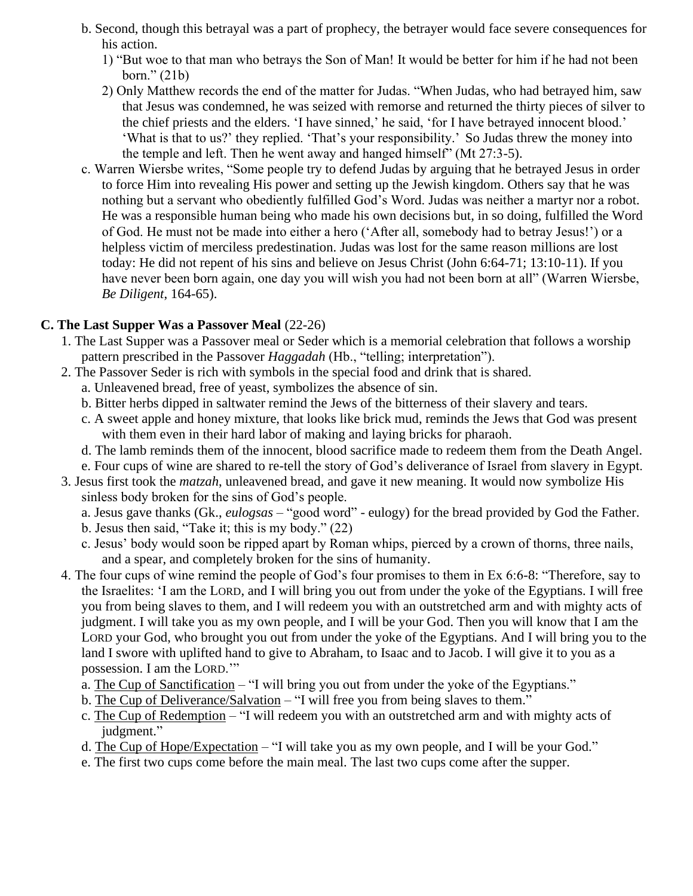- b. Second, though this betrayal was a part of prophecy, the betrayer would face severe consequences for his action.
	- 1) "But woe to that man who betrays the Son of Man! It would be better for him if he had not been born." (21b)
	- 2) Only Matthew records the end of the matter for Judas. "When Judas, who had betrayed him, saw that Jesus was condemned, he was seized with remorse and returned the thirty pieces of silver to the chief priests and the elders. 'I have sinned,' he said, 'for I have betrayed innocent blood.' 'What is that to us?' they replied. 'That's your responsibility.' So Judas threw the money into the temple and left. Then he went away and hanged himself" (Mt 27:3-5).
- c. Warren Wiersbe writes, "Some people try to defend Judas by arguing that he betrayed Jesus in order to force Him into revealing His power and setting up the Jewish kingdom. Others say that he was nothing but a servant who obediently fulfilled God's Word. Judas was neither a martyr nor a robot. He was a responsible human being who made his own decisions but, in so doing, fulfilled the Word of God. He must not be made into either a hero ('After all, somebody had to betray Jesus!') or a helpless victim of merciless predestination. Judas was lost for the same reason millions are lost today: He did not repent of his sins and believe on Jesus Christ (John 6:64-71; 13:10-11). If you have never been born again, one day you will wish you had not been born at all" (Warren Wiersbe, *Be Diligent*, 164-65).

### **C. The Last Supper Was a Passover Meal** (22-26)

- 1. The Last Supper was a Passover meal or Seder which is a memorial celebration that follows a worship pattern prescribed in the Passover *Haggadah* (Hb., "telling; interpretation").
- 2. The Passover Seder is rich with symbols in the special food and drink that is shared.
	- a. Unleavened bread, free of yeast, symbolizes the absence of sin.
	- b. Bitter herbs dipped in saltwater remind the Jews of the bitterness of their slavery and tears.
	- c. A sweet apple and honey mixture, that looks like brick mud, reminds the Jews that God was present with them even in their hard labor of making and laying bricks for pharaoh.
	- d. The lamb reminds them of the innocent, blood sacrifice made to redeem them from the Death Angel.
	- e. Four cups of wine are shared to re-tell the story of God's deliverance of Israel from slavery in Egypt.
- 3. Jesus first took the *matzah*, unleavened bread, and gave it new meaning. It would now symbolize His sinless body broken for the sins of God's people.
	- a. Jesus gave thanks (Gk., *eulogsas* "good word" eulogy) for the bread provided by God the Father.
	- b. Jesus then said, "Take it; this is my body." (22)
	- c. Jesus' body would soon be ripped apart by Roman whips, pierced by a crown of thorns, three nails, and a spear, and completely broken for the sins of humanity.
- 4. The four cups of wine remind the people of God's four promises to them in Ex 6:6-8: "Therefore, say to the Israelites: 'I am the LORD, and I will bring you out from under the yoke of the Egyptians. I will free you from being slaves to them, and I will redeem you with an outstretched arm and with mighty acts of judgment. I will take you as my own people, and I will be your God. Then you will know that I am the LORD your God, who brought you out from under the yoke of the Egyptians. And I will bring you to the land I swore with uplifted hand to give to Abraham, to Isaac and to Jacob. I will give it to you as a possession. I am the LORD.'"
	- a. The Cup of Sanctification "I will bring you out from under the yoke of the Egyptians."
	- b. The Cup of Deliverance/Salvation "I will free you from being slaves to them."
	- c. The Cup of Redemption "I will redeem you with an outstretched arm and with mighty acts of judgment."
	- d. The Cup of Hope/Expectation "I will take you as my own people, and I will be your God."
	- e. The first two cups come before the main meal. The last two cups come after the supper.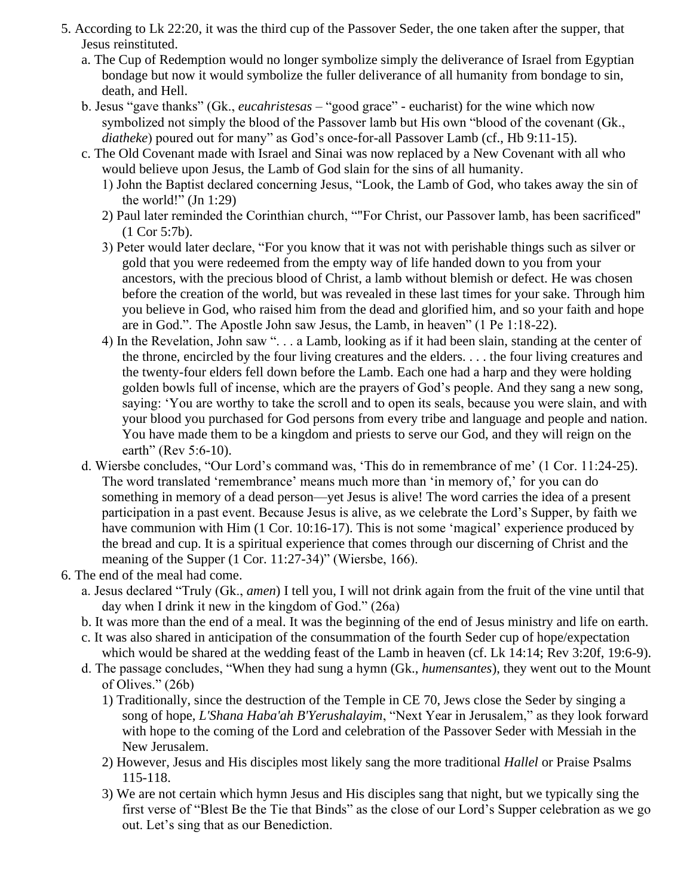- 5. According to Lk 22:20, it was the third cup of the Passover Seder, the one taken after the supper, that Jesus reinstituted.
	- a. The Cup of Redemption would no longer symbolize simply the deliverance of Israel from Egyptian bondage but now it would symbolize the fuller deliverance of all humanity from bondage to sin, death, and Hell.
	- b. Jesus "gave thanks" (Gk., *eucahristesas* "good grace" eucharist) for the wine which now symbolized not simply the blood of the Passover lamb but His own "blood of the covenant (Gk., *diatheke*) poured out for many" as God's once-for-all Passover Lamb (cf., Hb 9:11-15).
	- c. The Old Covenant made with Israel and Sinai was now replaced by a New Covenant with all who would believe upon Jesus, the Lamb of God slain for the sins of all humanity.
		- 1) John the Baptist declared concerning Jesus, "Look, the Lamb of God, who takes away the sin of the world!"  $(In 1:29)$
		- 2) Paul later reminded the Corinthian church, ""For Christ, our Passover lamb, has been sacrificed" (1 Cor 5:7b).
		- 3) Peter would later declare, "For you know that it was not with perishable things such as silver or gold that you were redeemed from the empty way of life handed down to you from your ancestors, with the precious blood of Christ, a lamb without blemish or defect. He was chosen before the creation of the world, but was revealed in these last times for your sake. Through him you believe in God, who raised him from the dead and glorified him, and so your faith and hope are in God.". The Apostle John saw Jesus, the Lamb, in heaven" (1 Pe 1:18-22).
		- 4) In the Revelation, John saw ". . . a Lamb, looking as if it had been slain, standing at the center of the throne, encircled by the four living creatures and the elders. . . . the four living creatures and the twenty-four elders fell down before the Lamb. Each one had a harp and they were holding golden bowls full of incense, which are the prayers of God's people. And they sang a new song, saying: 'You are worthy to take the scroll and to open its seals, because you were slain, and with your blood you purchased for God persons from every tribe and language and people and nation. You have made them to be a kingdom and priests to serve our God, and they will reign on the earth" (Rev 5:6-10).
	- d. Wiersbe concludes, "Our Lord's command was, 'This do in remembrance of me' (1 Cor. 11:24-25). The word translated 'remembrance' means much more than 'in memory of,' for you can do something in memory of a dead person—yet Jesus is alive! The word carries the idea of a present participation in a past event. Because Jesus is alive, as we celebrate the Lord's Supper, by faith we have communion with Him (1 Cor. 10:16-17). This is not some 'magical' experience produced by the bread and cup. It is a spiritual experience that comes through our discerning of Christ and the meaning of the Supper (1 Cor. 11:27-34)" (Wiersbe, 166).
- 6. The end of the meal had come.
	- a. Jesus declared "Truly (Gk., *amen*) I tell you, I will not drink again from the fruit of the vine until that day when I drink it new in the kingdom of God." (26a)
	- b. It was more than the end of a meal. It was the beginning of the end of Jesus ministry and life on earth.
	- c. It was also shared in anticipation of the consummation of the fourth Seder cup of hope/expectation which would be shared at the wedding feast of the Lamb in heaven (cf. Lk 14:14; Rev 3:20f, 19:6-9).
	- d. The passage concludes, "When they had sung a hymn (Gk., *humensantes*), they went out to the Mount of Olives." (26b)
		- 1) Traditionally, since the destruction of the Temple in CE 70, Jews close the Seder by singing a song of hope, *L'Shana Haba'ah B'Yerushalayim*, "Next Year in Jerusalem," as they look forward with hope to the coming of the Lord and celebration of the Passover Seder with Messiah in the New Jerusalem.
		- 2) However, Jesus and His disciples most likely sang the more traditional *Hallel* or Praise Psalms 115-118.
		- 3) We are not certain which hymn Jesus and His disciples sang that night, but we typically sing the first verse of "Blest Be the Tie that Binds" as the close of our Lord's Supper celebration as we go out. Let's sing that as our Benediction.